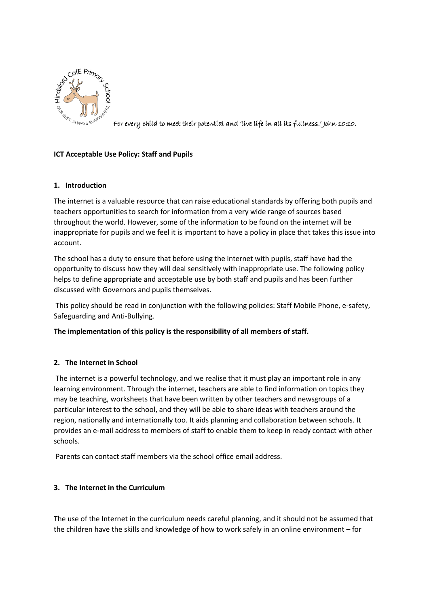

For every child to meet their potential and 'live life in all its fullness.' John 10:10.

# **ICT Acceptable Use Policy: Staff and Pupils**

## **1. Introduction**

The internet is a valuable resource that can raise educational standards by offering both pupils and teachers opportunities to search for information from a very wide range of sources based throughout the world. However, some of the information to be found on the internet will be inappropriate for pupils and we feel it is important to have a policy in place that takes this issue into account.

The school has a duty to ensure that before using the internet with pupils, staff have had the opportunity to discuss how they will deal sensitively with inappropriate use. The following policy helps to define appropriate and acceptable use by both staff and pupils and has been further discussed with Governors and pupils themselves.

This policy should be read in conjunction with the following policies: Staff Mobile Phone, e-safety, Safeguarding and Anti-Bullying.

## **The implementation of this policy is the responsibility of all members of staff.**

## **2. The Internet in School**

The internet is a powerful technology, and we realise that it must play an important role in any learning environment. Through the internet, teachers are able to find information on topics they may be teaching, worksheets that have been written by other teachers and newsgroups of a particular interest to the school, and they will be able to share ideas with teachers around the region, nationally and internationally too. It aids planning and collaboration between schools. It provides an e-mail address to members of staff to enable them to keep in ready contact with other schools.

Parents can contact staff members via the school office email address.

## **3. The Internet in the Curriculum**

The use of the Internet in the curriculum needs careful planning, and it should not be assumed that the children have the skills and knowledge of how to work safely in an online environment – for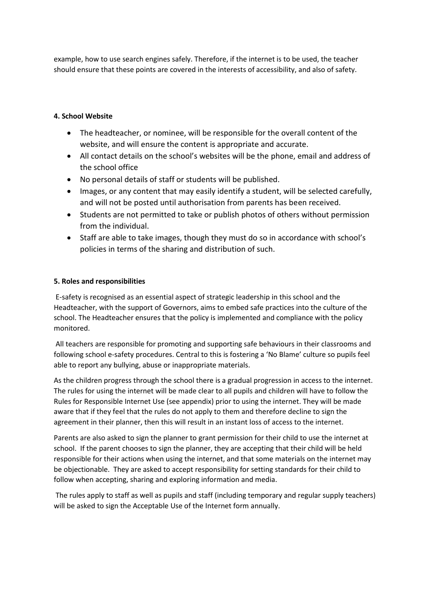example, how to use search engines safely. Therefore, if the internet is to be used, the teacher should ensure that these points are covered in the interests of accessibility, and also of safety.

# **4. School Website**

- The headteacher, or nominee, will be responsible for the overall content of the website, and will ensure the content is appropriate and accurate.
- All contact details on the school's websites will be the phone, email and address of the school office
- No personal details of staff or students will be published.
- Images, or any content that may easily identify a student, will be selected carefully, and will not be posted until authorisation from parents has been received.
- Students are not permitted to take or publish photos of others without permission from the individual.
- Staff are able to take images, though they must do so in accordance with school's policies in terms of the sharing and distribution of such.

## **5. Roles and responsibilities**

E-safety is recognised as an essential aspect of strategic leadership in this school and the Headteacher, with the support of Governors, aims to embed safe practices into the culture of the school. The Headteacher ensures that the policy is implemented and compliance with the policy monitored.

All teachers are responsible for promoting and supporting safe behaviours in their classrooms and following school e-safety procedures. Central to this is fostering a 'No Blame' culture so pupils feel able to report any bullying, abuse or inappropriate materials.

As the children progress through the school there is a gradual progression in access to the internet. The rules for using the internet will be made clear to all pupils and children will have to follow the Rules for Responsible Internet Use (see appendix) prior to using the internet. They will be made aware that if they feel that the rules do not apply to them and therefore decline to sign the agreement in their planner, then this will result in an instant loss of access to the internet.

Parents are also asked to sign the planner to grant permission for their child to use the internet at school. If the parent chooses to sign the planner, they are accepting that their child will be held responsible for their actions when using the internet, and that some materials on the internet may be objectionable. They are asked to accept responsibility for setting standards for their child to follow when accepting, sharing and exploring information and media.

The rules apply to staff as well as pupils and staff (including temporary and regular supply teachers) will be asked to sign the Acceptable Use of the Internet form annually.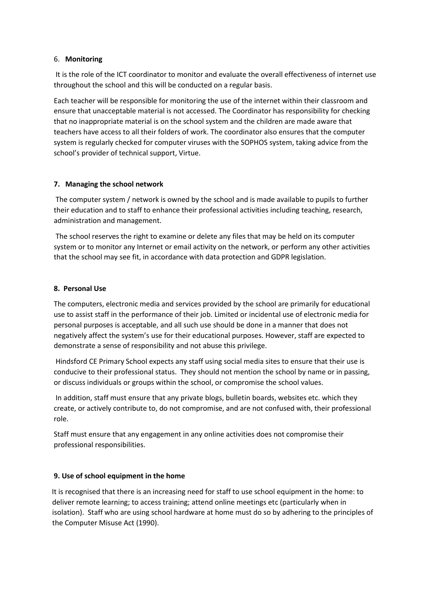### 6. **Monitoring**

It is the role of the ICT coordinator to monitor and evaluate the overall effectiveness of internet use throughout the school and this will be conducted on a regular basis.

Each teacher will be responsible for monitoring the use of the internet within their classroom and ensure that unacceptable material is not accessed. The Coordinator has responsibility for checking that no inappropriate material is on the school system and the children are made aware that teachers have access to all their folders of work. The coordinator also ensures that the computer system is regularly checked for computer viruses with the SOPHOS system, taking advice from the school's provider of technical support, Virtue.

## **7. Managing the school network**

The computer system / network is owned by the school and is made available to pupils to further their education and to staff to enhance their professional activities including teaching, research, administration and management.

The school reserves the right to examine or delete any files that may be held on its computer system or to monitor any Internet or email activity on the network, or perform any other activities that the school may see fit, in accordance with data protection and GDPR legislation.

## **8. Personal Use**

The computers, electronic media and services provided by the school are primarily for educational use to assist staff in the performance of their job. Limited or incidental use of electronic media for personal purposes is acceptable, and all such use should be done in a manner that does not negatively affect the system's use for their educational purposes. However, staff are expected to demonstrate a sense of responsibility and not abuse this privilege.

Hindsford CE Primary School expects any staff using social media sites to ensure that their use is conducive to their professional status. They should not mention the school by name or in passing, or discuss individuals or groups within the school, or compromise the school values.

In addition, staff must ensure that any private blogs, bulletin boards, websites etc. which they create, or actively contribute to, do not compromise, and are not confused with, their professional role.

Staff must ensure that any engagement in any online activities does not compromise their professional responsibilities.

## **9. Use of school equipment in the home**

It is recognised that there is an increasing need for staff to use school equipment in the home: to deliver remote learning; to access training; attend online meetings etc (particularly when in isolation). Staff who are using school hardware at home must do so by adhering to the principles of the Computer Misuse Act (1990).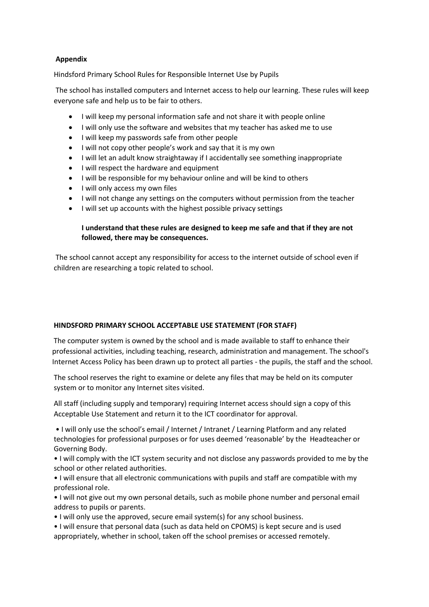## **Appendix**

Hindsford Primary School Rules for Responsible Internet Use by Pupils

The school has installed computers and Internet access to help our learning. These rules will keep everyone safe and help us to be fair to others.

- I will keep my personal information safe and not share it with people online
- I will only use the software and websites that my teacher has asked me to use
- I will keep my passwords safe from other people
- I will not copy other people's work and say that it is my own
- I will let an adult know straightaway if I accidentally see something inappropriate
- I will respect the hardware and equipment
- I will be responsible for my behaviour online and will be kind to others
- I will only access my own files
- I will not change any settings on the computers without permission from the teacher
- I will set up accounts with the highest possible privacy settings

### **I understand that these rules are designed to keep me safe and that if they are not followed, there may be consequences.**

The school cannot accept any responsibility for access to the internet outside of school even if children are researching a topic related to school.

#### **HINDSFORD PRIMARY SCHOOL ACCEPTABLE USE STATEMENT (FOR STAFF)**

The computer system is owned by the school and is made available to staff to enhance their professional activities, including teaching, research, administration and management. The school's Internet Access Policy has been drawn up to protect all parties - the pupils, the staff and the school.

The school reserves the right to examine or delete any files that may be held on its computer system or to monitor any Internet sites visited.

All staff (including supply and temporary) requiring Internet access should sign a copy of this Acceptable Use Statement and return it to the ICT coordinator for approval.

• I will only use the school's email / Internet / Intranet / Learning Platform and any related technologies for professional purposes or for uses deemed 'reasonable' by the Headteacher or Governing Body.

• I will comply with the ICT system security and not disclose any passwords provided to me by the school or other related authorities.

• I will ensure that all electronic communications with pupils and staff are compatible with my professional role.

• I will not give out my own personal details, such as mobile phone number and personal email address to pupils or parents.

• I will only use the approved, secure email system(s) for any school business.

• I will ensure that personal data (such as data held on CPOMS) is kept secure and is used appropriately, whether in school, taken off the school premises or accessed remotely.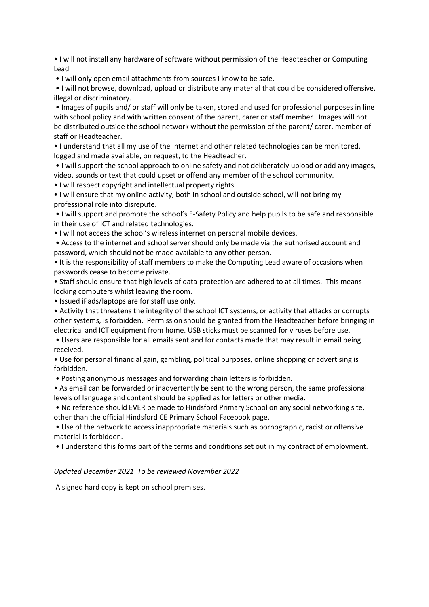• I will not install any hardware of software without permission of the Headteacher or Computing Lead

• I will only open email attachments from sources I know to be safe.

• I will not browse, download, upload or distribute any material that could be considered offensive, illegal or discriminatory.

• Images of pupils and/ or staff will only be taken, stored and used for professional purposes in line with school policy and with written consent of the parent, carer or staff member. Images will not be distributed outside the school network without the permission of the parent/ carer, member of staff or Headteacher.

• I understand that all my use of the Internet and other related technologies can be monitored, logged and made available, on request, to the Headteacher.

• I will support the school approach to online safety and not deliberately upload or add any images, video, sounds or text that could upset or offend any member of the school community.

• I will respect copyright and intellectual property rights.

• I will ensure that my online activity, both in school and outside school, will not bring my professional role into disrepute.

• I will support and promote the school's E-Safety Policy and help pupils to be safe and responsible in their use of ICT and related technologies.

• I will not access the school's wireless internet on personal mobile devices.

• Access to the internet and school server should only be made via the authorised account and password, which should not be made available to any other person.

• It is the responsibility of staff members to make the Computing Lead aware of occasions when passwords cease to become private.

• Staff should ensure that high levels of data-protection are adhered to at all times. This means locking computers whilst leaving the room.

• Issued iPads/laptops are for staff use only.

• Activity that threatens the integrity of the school ICT systems, or activity that attacks or corrupts other systems, is forbidden. Permission should be granted from the Headteacher before bringing in electrical and ICT equipment from home. USB sticks must be scanned for viruses before use.

• Users are responsible for all emails sent and for contacts made that may result in email being received.

• Use for personal financial gain, gambling, political purposes, online shopping or advertising is forbidden.

• Posting anonymous messages and forwarding chain letters is forbidden.

• As email can be forwarded or inadvertently be sent to the wrong person, the same professional levels of language and content should be applied as for letters or other media.

• No reference should EVER be made to Hindsford Primary School on any social networking site, other than the official Hindsford CE Primary School Facebook page.

• Use of the network to access inappropriate materials such as pornographic, racist or offensive material is forbidden.

• I understand this forms part of the terms and conditions set out in my contract of employment.

*Updated December 2021 To be reviewed November 2022*

A signed hard copy is kept on school premises.